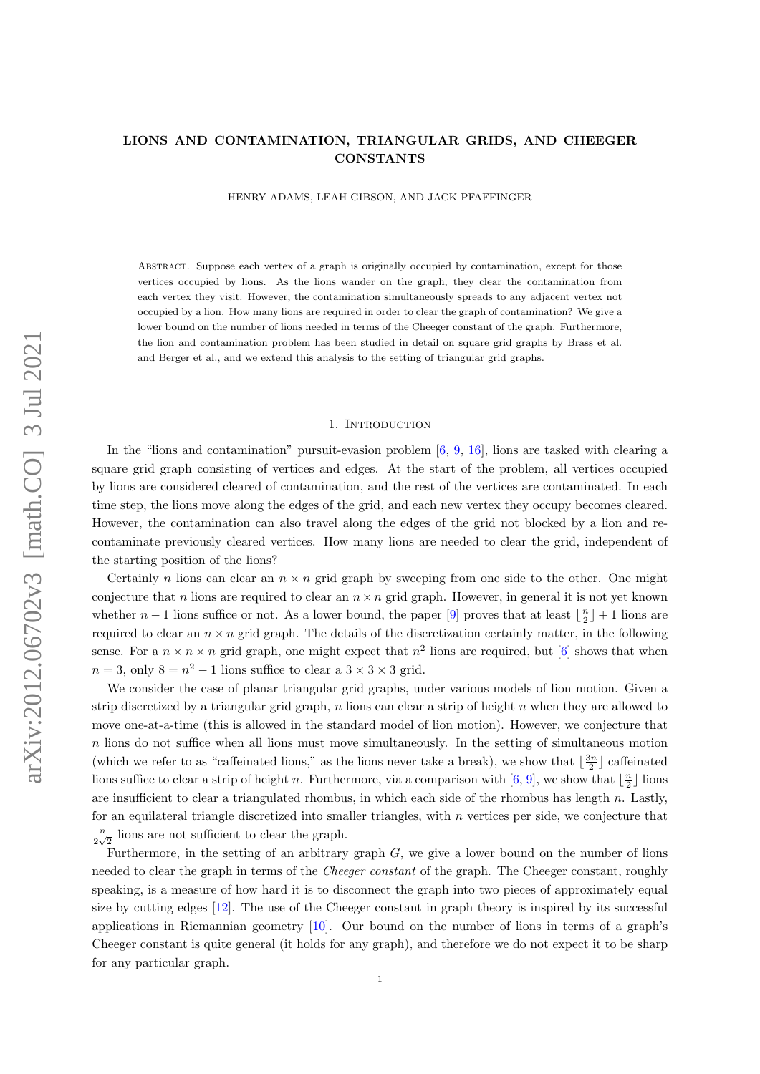## LIONS AND CONTAMINATION, TRIANGULAR GRIDS, AND CHEEGER **CONSTANTS**

HENRY ADAMS, LEAH GIBSON, AND JACK PFAFFINGER

Abstract. Suppose each vertex of a graph is originally occupied by contamination, except for those vertices occupied by lions. As the lions wander on the graph, they clear the contamination from each vertex they visit. However, the contamination simultaneously spreads to any adjacent vertex not occupied by a lion. How many lions are required in order to clear the graph of contamination? We give a lower bound on the number of lions needed in terms of the Cheeger constant of the graph. Furthermore, the lion and contamination problem has been studied in detail on square grid graphs by Brass et al. and Berger et al., and we extend this analysis to the setting of triangular grid graphs.

## 1. INTRODUCTION

In the "lions and contamination" pursuit-evasion problem  $[6, 9, 16]$  $[6, 9, 16]$  $[6, 9, 16]$  $[6, 9, 16]$  $[6, 9, 16]$ , lions are tasked with clearing a square grid graph consisting of vertices and edges. At the start of the problem, all vertices occupied by lions are considered cleared of contamination, and the rest of the vertices are contaminated. In each time step, the lions move along the edges of the grid, and each new vertex they occupy becomes cleared. However, the contamination can also travel along the edges of the grid not blocked by a lion and recontaminate previously cleared vertices. How many lions are needed to clear the grid, independent of the starting position of the lions?

Certainly n lions can clear an  $n \times n$  grid graph by sweeping from one side to the other. One might conjecture that n lions are required to clear an  $n \times n$  grid graph. However, in general it is not yet known whether  $n-1$  lions suffice or not. As a lower bound, the paper [\[9\]](#page-13-1) proves that at least  $\lfloor \frac{n}{2} \rfloor + 1$  lions are required to clear an  $n \times n$  grid graph. The details of the discretization certainly matter, in the following sense. For a  $n \times n \times n$  grid graph, one might expect that  $n^2$  lions are required, but [\[6\]](#page-13-0) shows that when  $n = 3$ , only  $8 = n^2 - 1$  lions suffice to clear a  $3 \times 3 \times 3$  grid.

We consider the case of planar triangular grid graphs, under various models of lion motion. Given a strip discretized by a triangular grid graph, n lions can clear a strip of height n when they are allowed to move one-at-a-time (this is allowed in the standard model of lion motion). However, we conjecture that n lions do not suffice when all lions must move simultaneously. In the setting of simultaneous motion (which we refer to as "caffeinated lions," as the lions never take a break), we show that  $\lfloor \frac{3n}{2} \rfloor$  caffeinated lions suffice to clear a strip of height n. Furthermore, via a comparison with  $[6, 9]$  $[6, 9]$  $[6, 9]$ , we show that  $\lfloor \frac{n}{2} \rfloor$  lions are insufficient to clear a triangulated rhombus, in which each side of the rhombus has length n. Lastly, for an equilateral triangle discretized into smaller triangles, with  $n$  vertices per side, we conjecture that n  $\frac{n}{2\sqrt{2}}$  lions are not sufficient to clear the graph.

Furthermore, in the setting of an arbitrary graph  $G$ , we give a lower bound on the number of lions needed to clear the graph in terms of the Cheeger constant of the graph. The Cheeger constant, roughly speaking, is a measure of how hard it is to disconnect the graph into two pieces of approximately equal size by cutting edges [\[12\]](#page-13-3). The use of the Cheeger constant in graph theory is inspired by its successful applications in Riemannian geometry [\[10\]](#page-13-4). Our bound on the number of lions in terms of a graph's Cheeger constant is quite general (it holds for any graph), and therefore we do not expect it to be sharp for any particular graph.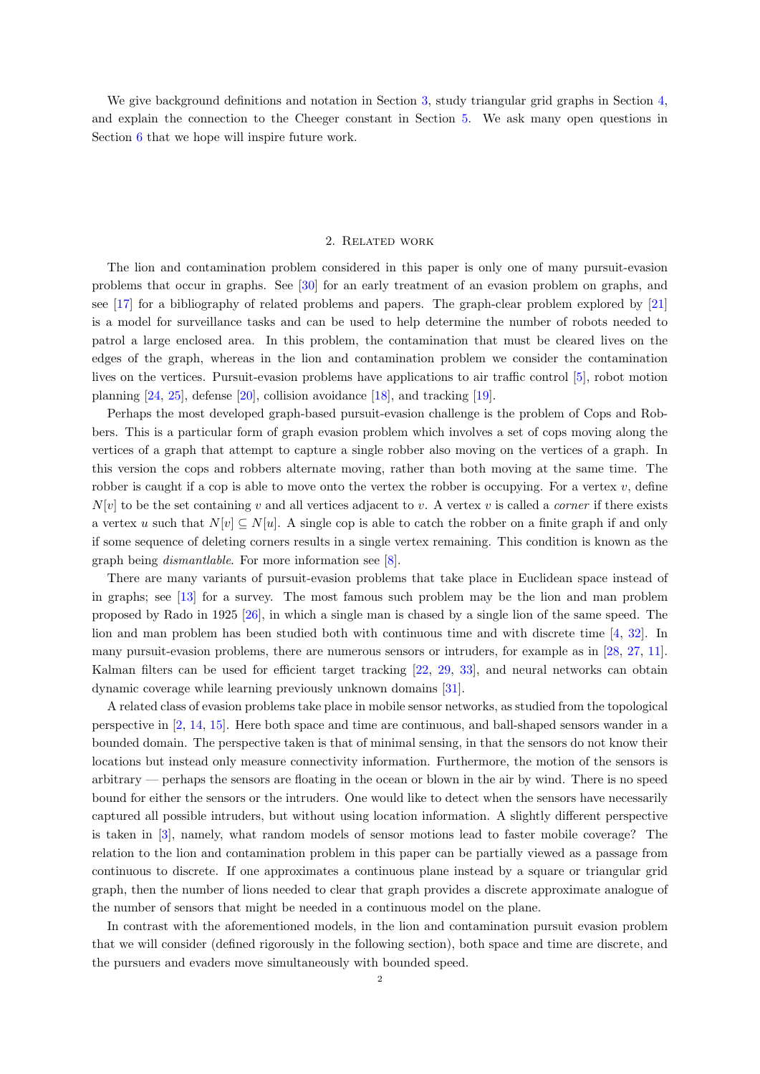We give background definitions and notation in Section [3,](#page-2-0) study triangular grid graphs in Section [4,](#page-3-0) and explain the connection to the Cheeger constant in Section [5.](#page-10-0) We ask many open questions in Section [6](#page-12-0) that we hope will inspire future work.

### 2. Related work

The lion and contamination problem considered in this paper is only one of many pursuit-evasion problems that occur in graphs. See [\[30\]](#page-14-0) for an early treatment of an evasion problem on graphs, and see [\[17\]](#page-13-5) for a bibliography of related problems and papers. The graph-clear problem explored by [\[21\]](#page-14-1) is a model for surveillance tasks and can be used to help determine the number of robots needed to patrol a large enclosed area. In this problem, the contamination that must be cleared lives on the edges of the graph, whereas in the lion and contamination problem we consider the contamination lives on the vertices. Pursuit-evasion problems have applications to air traffic control [\[5\]](#page-13-6), robot motion planning [\[24,](#page-14-2) [25\]](#page-14-3), defense [\[20\]](#page-14-4), collision avoidance [\[18\]](#page-13-7), and tracking [\[19\]](#page-14-5).

Perhaps the most developed graph-based pursuit-evasion challenge is the problem of Cops and Robbers. This is a particular form of graph evasion problem which involves a set of cops moving along the vertices of a graph that attempt to capture a single robber also moving on the vertices of a graph. In this version the cops and robbers alternate moving, rather than both moving at the same time. The robber is caught if a cop is able to move onto the vertex the robber is occupying. For a vertex  $v$ , define  $N[v]$  to be the set containing v and all vertices adjacent to v. A vertex v is called a *corner* if there exists a vertex u such that  $N[v] \subseteq N[u]$ . A single cop is able to catch the robber on a finite graph if and only if some sequence of deleting corners results in a single vertex remaining. This condition is known as the graph being dismantlable. For more information see [\[8\]](#page-13-8).

There are many variants of pursuit-evasion problems that take place in Euclidean space instead of in graphs; see [\[13\]](#page-13-9) for a survey. The most famous such problem may be the lion and man problem proposed by Rado in 1925 [\[26\]](#page-14-6), in which a single man is chased by a single lion of the same speed. The lion and man problem has been studied both with continuous time and with discrete time [\[4,](#page-13-10) [32\]](#page-14-7). In many pursuit-evasion problems, there are numerous sensors or intruders, for example as in [\[28,](#page-14-8) [27,](#page-14-9) [11\]](#page-13-11). Kalman filters can be used for efficient target tracking [\[22,](#page-14-10) [29,](#page-14-11) [33\]](#page-14-12), and neural networks can obtain dynamic coverage while learning previously unknown domains [\[31\]](#page-14-13).

A related class of evasion problems take place in mobile sensor networks, as studied from the topological perspective in [\[2,](#page-13-12) [14,](#page-13-13) [15\]](#page-13-14). Here both space and time are continuous, and ball-shaped sensors wander in a bounded domain. The perspective taken is that of minimal sensing, in that the sensors do not know their locations but instead only measure connectivity information. Furthermore, the motion of the sensors is arbitrary — perhaps the sensors are floating in the ocean or blown in the air by wind. There is no speed bound for either the sensors or the intruders. One would like to detect when the sensors have necessarily captured all possible intruders, but without using location information. A slightly different perspective is taken in [\[3\]](#page-13-15), namely, what random models of sensor motions lead to faster mobile coverage? The relation to the lion and contamination problem in this paper can be partially viewed as a passage from continuous to discrete. If one approximates a continuous plane instead by a square or triangular grid graph, then the number of lions needed to clear that graph provides a discrete approximate analogue of the number of sensors that might be needed in a continuous model on the plane.

In contrast with the aforementioned models, in the lion and contamination pursuit evasion problem that we will consider (defined rigorously in the following section), both space and time are discrete, and the pursuers and evaders move simultaneously with bounded speed.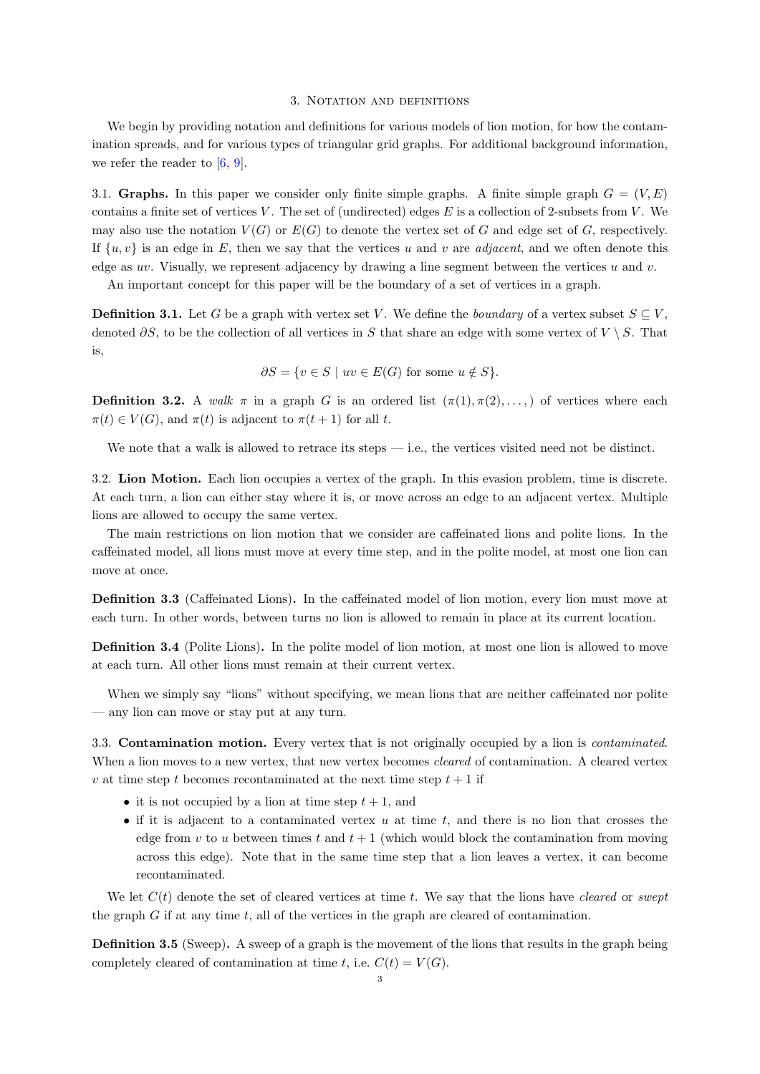### 3. NOTATION AND DEFINITIONS

<span id="page-2-0"></span>We begin by providing notation and definitions for various models of lion motion, for how the contamination spreads, and for various types of triangular grid graphs. For additional background information, we refer the reader to  $[6, 9]$  $[6, 9]$  $[6, 9]$ .

3.1. Graphs. In this paper we consider only finite simple graphs. A finite simple graph  $G = (V, E)$ contains a finite set of vertices V. The set of (undirected) edges E is a collection of 2-subsets from V. We may also use the notation  $V(G)$  or  $E(G)$  to denote the vertex set of G and edge set of G, respectively. If  $\{u, v\}$  is an edge in E, then we say that the vertices u and v are *adjacent*, and we often denote this edge as uv. Visually, we represent adjacency by drawing a line segment between the vertices u and v.

An important concept for this paper will be the boundary of a set of vertices in a graph.

**Definition 3.1.** Let G be a graph with vertex set V. We define the boundary of a vertex subset  $S \subseteq V$ , denoted  $\partial S$ , to be the collection of all vertices in S that share an edge with some vertex of  $V \setminus S$ . That is,

$$
\partial S = \{ v \in S \mid uv \in E(G) \text{ for some } u \notin S \}.
$$

**Definition 3.2.** A walk  $\pi$  in a graph G is an ordered list  $(\pi(1), \pi(2), \ldots)$  of vertices where each  $\pi(t) \in V(G)$ , and  $\pi(t)$  is adjacent to  $\pi(t+1)$  for all t.

We note that a walk is allowed to retrace its steps  $-$  i.e., the vertices visited need not be distinct.

3.2. Lion Motion. Each lion occupies a vertex of the graph. In this evasion problem, time is discrete. At each turn, a lion can either stay where it is, or move across an edge to an adjacent vertex. Multiple lions are allowed to occupy the same vertex.

The main restrictions on lion motion that we consider are caffeinated lions and polite lions. In the caffeinated model, all lions must move at every time step, and in the polite model, at most one lion can move at once.

Definition 3.3 (Caffeinated Lions). In the caffeinated model of lion motion, every lion must move at each turn. In other words, between turns no lion is allowed to remain in place at its current location.

Definition 3.4 (Polite Lions). In the polite model of lion motion, at most one lion is allowed to move at each turn. All other lions must remain at their current vertex.

When we simply say "lions" without specifying, we mean lions that are neither caffeinated nor polite — any lion can move or stay put at any turn.

3.3. Contamination motion. Every vertex that is not originally occupied by a lion is contaminated. When a lion moves to a new vertex, that new vertex becomes *cleared* of contamination. A cleared vertex v at time step t becomes recontaminated at the next time step  $t + 1$  if

- it is not occupied by a lion at time step  $t + 1$ , and
- if it is adjacent to a contaminated vertex  $u$  at time  $t$ , and there is no lion that crosses the edge from v to u between times t and  $t + 1$  (which would block the contamination from moving across this edge). Note that in the same time step that a lion leaves a vertex, it can become recontaminated.

We let  $C(t)$  denote the set of cleared vertices at time t. We say that the lions have cleared or swept the graph  $G$  if at any time  $t$ , all of the vertices in the graph are cleared of contamination.

Definition 3.5 (Sweep). A sweep of a graph is the movement of the lions that results in the graph being completely cleared of contamination at time t, i.e.  $C(t) = V(G)$ .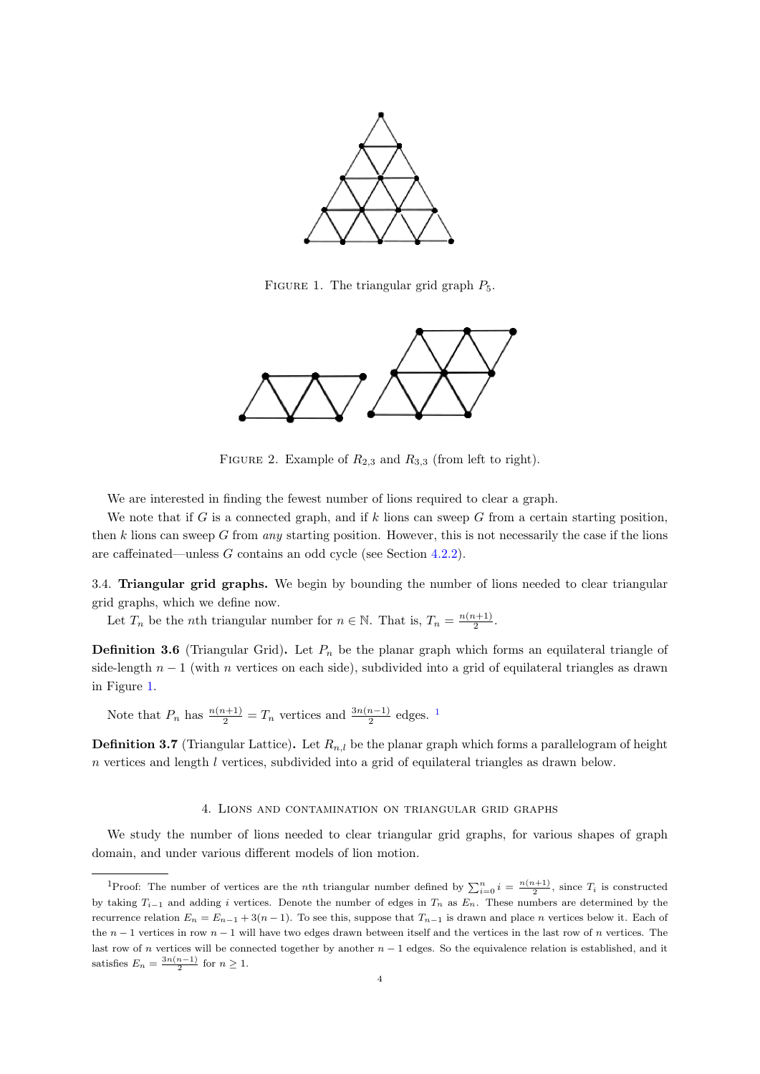

<span id="page-3-1"></span>FIGURE 1. The triangular grid graph  $P_5$ .



FIGURE 2. Example of  $R_{2,3}$  and  $R_{3,3}$  (from left to right).

We are interested in finding the fewest number of lions required to clear a graph.

We note that if G is a connected graph, and if k lions can sweep G from a certain starting position, then k lions can sweep G from any starting position. However, this is not necessarily the case if the lions are caffeinated—unless G contains an odd cycle (see Section [4.2.2\)](#page-5-0).

3.4. Triangular grid graphs. We begin by bounding the number of lions needed to clear triangular grid graphs, which we define now.

Let  $T_n$  be the *n*th triangular number for  $n \in \mathbb{N}$ . That is,  $T_n = \frac{n(n+1)}{2}$  $\frac{i+1j}{2}$ .

**Definition 3.6** (Triangular Grid). Let  $P_n$  be the planar graph which forms an equilateral triangle of side-length  $n-1$  (with n vertices on each side), subdivided into a grid of equilateral triangles as drawn in Figure [1.](#page-3-1)

Note that  $P_n$  has  $\frac{n(n+1)}{2} = T_n$  $\frac{n(n+1)}{2} = T_n$  $\frac{n(n+1)}{2} = T_n$  vertices and  $\frac{3n(n-1)}{2}$  edges. <sup>1</sup>

**Definition 3.7** (Triangular Lattice). Let  $R_{n,l}$  be the planar graph which forms a parallelogram of height n vertices and length l vertices, subdivided into a grid of equilateral triangles as drawn below.

## 4. Lions and contamination on triangular grid graphs

<span id="page-3-0"></span>We study the number of lions needed to clear triangular grid graphs, for various shapes of graph domain, and under various different models of lion motion.

<span id="page-3-2"></span><sup>&</sup>lt;sup>1</sup>Proof: The number of vertices are the *n*th triangular number defined by  $\sum_{i=0}^{n} i = \frac{n(n+1)}{2}$ , since  $T_i$  is constructed by taking  $T_{i-1}$  and adding i vertices. Denote the number of edges in  $T_n$  as  $E_n$ . These numbers are determined by the recurrence relation  $E_n = E_{n-1} + 3(n-1)$ . To see this, suppose that  $T_{n-1}$  is drawn and place n vertices below it. Each of the  $n-1$  vertices in row  $n-1$  will have two edges drawn between itself and the vertices in the last row of n vertices. The last row of n vertices will be connected together by another  $n - 1$  edges. So the equivalence relation is established, and it satisfies  $E_n = \frac{3n(n-1)}{2}$  for  $n \geq 1$ .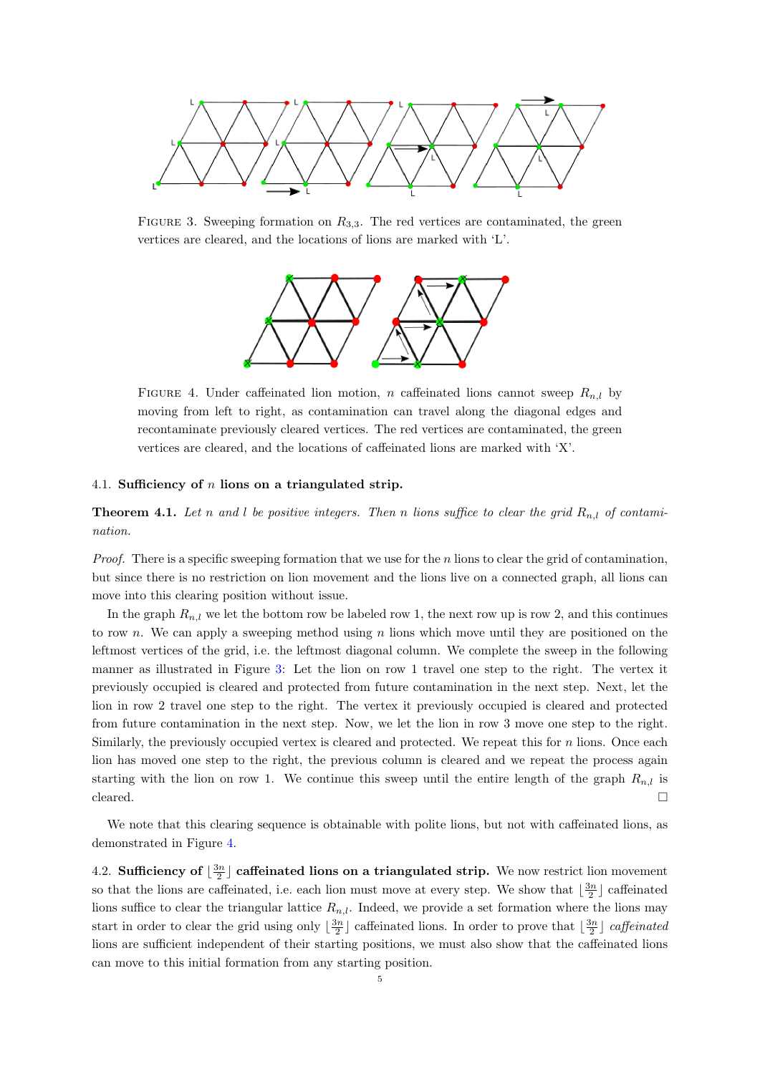

FIGURE 3. Sweeping formation on  $R_{3,3}$ . The red vertices are contaminated, the green vertices are cleared, and the locations of lions are marked with 'L'.

<span id="page-4-0"></span>

<span id="page-4-1"></span>FIGURE 4. Under caffeinated lion motion, n caffeinated lions cannot sweep  $R_{n,l}$  by moving from left to right, as contamination can travel along the diagonal edges and recontaminate previously cleared vertices. The red vertices are contaminated, the green vertices are cleared, and the locations of caffeinated lions are marked with 'X'.

## 4.1. Sufficiency of  $n$  lions on a triangulated strip.

**Theorem 4.1.** Let n and l be positive integers. Then n lions suffice to clear the grid  $R_{n,l}$  of contamination.

*Proof.* There is a specific sweeping formation that we use for the n lions to clear the grid of contamination, but since there is no restriction on lion movement and the lions live on a connected graph, all lions can move into this clearing position without issue.

In the graph  $R_{n,l}$  we let the bottom row be labeled row 1, the next row up is row 2, and this continues to row n. We can apply a sweeping method using n lions which move until they are positioned on the leftmost vertices of the grid, i.e. the leftmost diagonal column. We complete the sweep in the following manner as illustrated in Figure [3:](#page-4-0) Let the lion on row 1 travel one step to the right. The vertex it previously occupied is cleared and protected from future contamination in the next step. Next, let the lion in row 2 travel one step to the right. The vertex it previously occupied is cleared and protected from future contamination in the next step. Now, we let the lion in row 3 move one step to the right. Similarly, the previously occupied vertex is cleared and protected. We repeat this for  $n$  lions. Once each lion has moved one step to the right, the previous column is cleared and we repeat the process again starting with the lion on row 1. We continue this sweep until the entire length of the graph  $R_{n,l}$  is cleared.  $\Box$ 

We note that this clearing sequence is obtainable with polite lions, but not with caffeinated lions, as demonstrated in Figure [4.](#page-4-1)

4.2. Sufficiency of  $\lfloor \frac{3n}{2} \rfloor$  caffeinated lions on a triangulated strip. We now restrict lion movement so that the lions are caffeinated, i.e. each lion must move at every step. We show that  $\lfloor \frac{3n}{2} \rfloor$  caffeinated lions suffice to clear the triangular lattice  $R_{n,l}$ . Indeed, we provide a set formation where the lions may start in order to clear the grid using only  $\lfloor \frac{3n}{2} \rfloor$  caffeinated lions. In order to prove that  $\lfloor \frac{3n}{2} \rfloor$  caffeinated lions are sufficient independent of their starting positions, we must also show that the caffeinated lions can move to this initial formation from any starting position.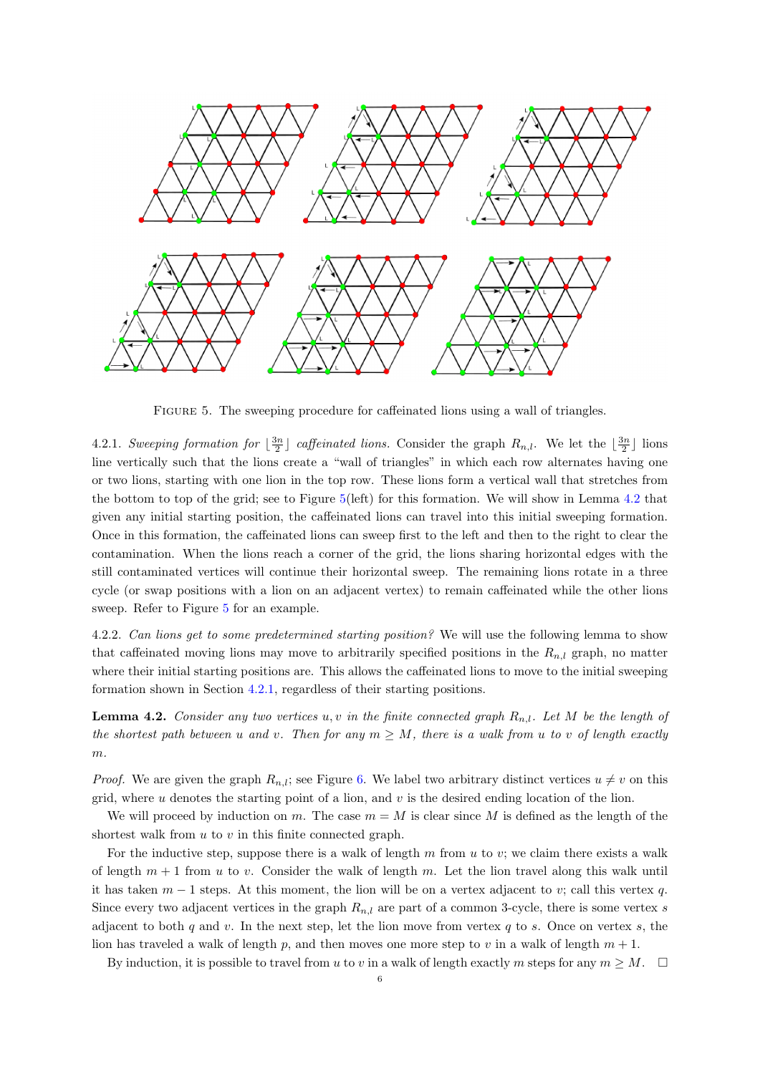

<span id="page-5-1"></span>FIGURE 5. The sweeping procedure for caffeinated lions using a wall of triangles.

<span id="page-5-3"></span>4.2.1. Sweeping formation for  $\lfloor \frac{3n}{2} \rfloor$  caffeinated lions. Consider the graph  $R_{n,l}$ . We let the  $\lfloor \frac{3n}{2} \rfloor$  lions line vertically such that the lions create a "wall of triangles" in which each row alternates having one or two lions, starting with one lion in the top row. These lions form a vertical wall that stretches from the bottom to top of the grid; see to Figure [5\(](#page-5-1)left) for this formation. We will show in Lemma [4.2](#page-5-2) that given any initial starting position, the caffeinated lions can travel into this initial sweeping formation. Once in this formation, the caffeinated lions can sweep first to the left and then to the right to clear the contamination. When the lions reach a corner of the grid, the lions sharing horizontal edges with the still contaminated vertices will continue their horizontal sweep. The remaining lions rotate in a three cycle (or swap positions with a lion on an adjacent vertex) to remain caffeinated while the other lions sweep. Refer to Figure [5](#page-5-1) for an example.

<span id="page-5-0"></span>4.2.2. Can lions get to some predetermined starting position? We will use the following lemma to show that caffeinated moving lions may move to arbitrarily specified positions in the  $R_{n,l}$  graph, no matter where their initial starting positions are. This allows the caffeinated lions to move to the initial sweeping formation shown in Section [4.2.1,](#page-5-3) regardless of their starting positions.

<span id="page-5-2"></span>**Lemma 4.2.** Consider any two vertices u, v in the finite connected graph  $R_{n,l}$ . Let M be the length of the shortest path between u and v. Then for any  $m > M$ , there is a walk from u to v of length exactly  $m$ .

*Proof.* We are given the graph  $R_{n,l}$ ; see Figure [6.](#page-6-0) We label two arbitrary distinct vertices  $u \neq v$  on this grid, where  $u$  denotes the starting point of a lion, and  $v$  is the desired ending location of the lion.

We will proceed by induction on m. The case  $m = M$  is clear since M is defined as the length of the shortest walk from  $u$  to  $v$  in this finite connected graph.

For the inductive step, suppose there is a walk of length  $m$  from  $u$  to  $v$ ; we claim there exists a walk of length  $m + 1$  from u to v. Consider the walk of length m. Let the lion travel along this walk until it has taken  $m-1$  steps. At this moment, the lion will be on a vertex adjacent to v; call this vertex q. Since every two adjacent vertices in the graph  $R_{n,l}$  are part of a common 3-cycle, there is some vertex s adjacent to both q and v. In the next step, let the lion move from vertex q to s. Once on vertex s, the lion has traveled a walk of length p, and then moves one more step to v in a walk of length  $m + 1$ .

By induction, it is possible to travel from u to v in a walk of length exactly m steps for any  $m \geq M$ .  $\square$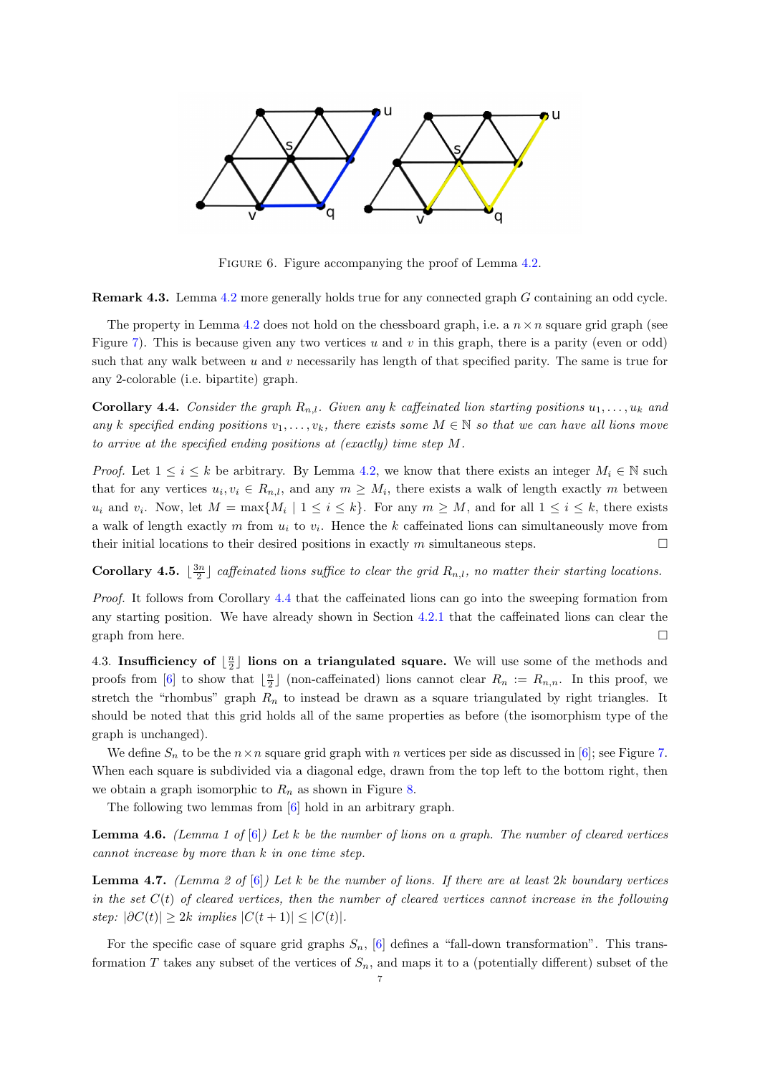

<span id="page-6-0"></span>FIGURE 6. Figure accompanying the proof of Lemma [4.2.](#page-5-2)

Remark 4.3. Lemma [4.2](#page-5-2) more generally holds true for any connected graph G containing an odd cycle.

The property in Lemma [4.2](#page-5-2) does not hold on the chessboard graph, i.e. a  $n \times n$  square grid graph (see Figure [7\)](#page-7-0). This is because given any two vertices u and v in this graph, there is a parity (even or odd) such that any walk between u and v necessarily has length of that specified parity. The same is true for any 2-colorable (i.e. bipartite) graph.

<span id="page-6-1"></span>**Corollary 4.4.** Consider the graph  $R_{n,l}$ . Given any k caffeinated lion starting positions  $u_1, \ldots, u_k$  and any k specified ending positions  $v_1, \ldots, v_k$ , there exists some  $M \in \mathbb{N}$  so that we can have all lions move to arrive at the specified ending positions at (exactly) time step M.

*Proof.* Let  $1 \le i \le k$  be arbitrary. By Lemma [4.2,](#page-5-2) we know that there exists an integer  $M_i \in \mathbb{N}$  such that for any vertices  $u_i, v_i \in R_{n,l}$ , and any  $m \geq M_i$ , there exists a walk of length exactly m between  $u_i$  and  $v_i$ . Now, let  $M = \max\{M_i \mid 1 \le i \le k\}$ . For any  $m \ge M$ , and for all  $1 \le i \le k$ , there exists a walk of length exactly m from  $u_i$  to  $v_i$ . Hence the k caffeinated lions can simultaneously move from their initial locations to their desired positions in exactly m simultaneous steps.  $\square$ 

**Corollary 4.5.**  $\lfloor \frac{3n}{2} \rfloor$  caffeinated lions suffice to clear the grid  $R_{n,l}$ , no matter their starting locations.

Proof. It follows from Corollary [4.4](#page-6-1) that the caffeinated lions can go into the sweeping formation from any starting position. We have already shown in Section [4.2.1](#page-5-3) that the caffeinated lions can clear the graph from here.  $\Box$ 

4.3. Insufficiency of  $\lfloor \frac{n}{2} \rfloor$  lions on a triangulated square. We will use some of the methods and proofs from [\[6\]](#page-13-0) to show that  $\lfloor \frac{n}{2} \rfloor$  (non-caffeinated) lions cannot clear  $R_n := R_{n,n}$ . In this proof, we stretch the "rhombus" graph  $R_n$  to instead be drawn as a square triangulated by right triangles. It should be noted that this grid holds all of the same properties as before (the isomorphism type of the graph is unchanged).

We define  $S_n$  to be the  $n \times n$  square grid graph with n vertices per side as discussed in [\[6\]](#page-13-0); see Figure [7.](#page-7-0) When each square is subdivided via a diagonal edge, drawn from the top left to the bottom right, then we obtain a graph isomorphic to  $R_n$  as shown in Figure [8.](#page-7-1)

The following two lemmas from [\[6\]](#page-13-0) hold in an arbitrary graph.

<span id="page-6-2"></span>**Lemma 4.6.** (Lemma 1 of  $[6]$ ) Let k be the number of lions on a graph. The number of cleared vertices cannot increase by more than k in one time step.

<span id="page-6-3"></span>**Lemma 4.7.** (Lemma 2 of [\[6\]](#page-13-0)) Let k be the number of lions. If there are at least 2k boundary vertices in the set  $C(t)$  of cleared vertices, then the number of cleared vertices cannot increase in the following step:  $|\partial C(t)| > 2k$  implies  $|C(t+1)| < |C(t)|$ .

For the specific case of square grid graphs  $S_n$ , [\[6\]](#page-13-0) defines a "fall-down transformation". This transformation T takes any subset of the vertices of  $S_n$ , and maps it to a (potentially different) subset of the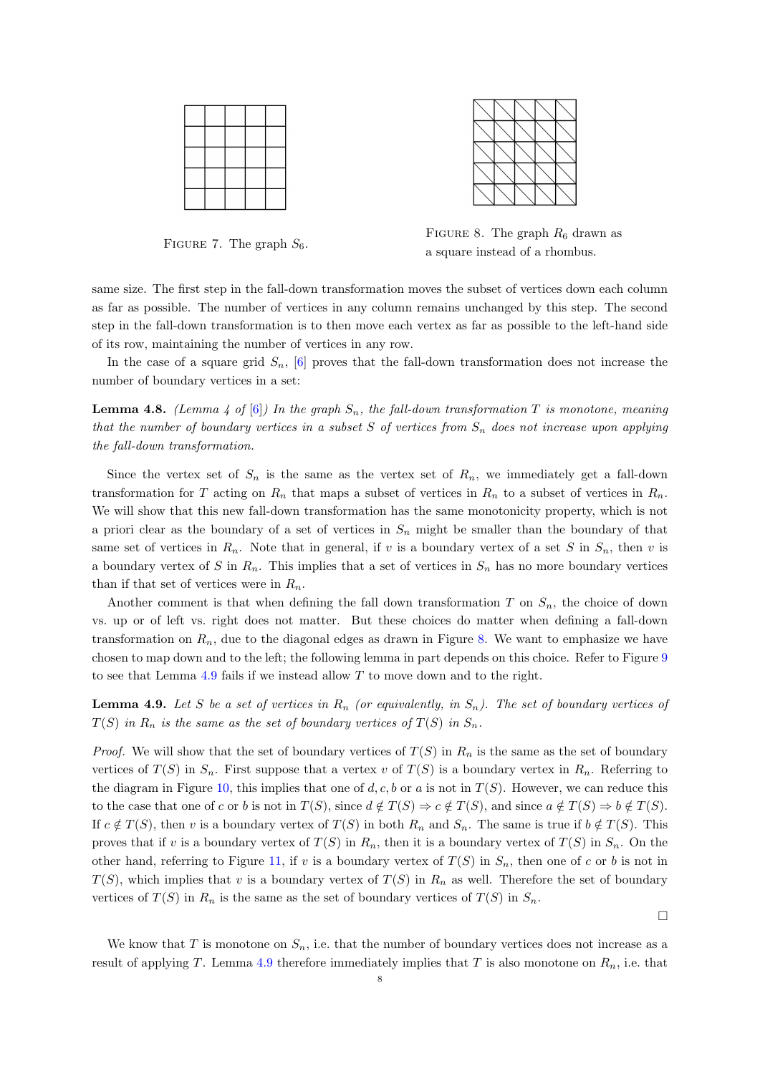



<span id="page-7-0"></span>FIGURE 7. The graph  $S_6$ .

<span id="page-7-1"></span>FIGURE 8. The graph  $R_6$  drawn as a square instead of a rhombus.

same size. The first step in the fall-down transformation moves the subset of vertices down each column as far as possible. The number of vertices in any column remains unchanged by this step. The second step in the fall-down transformation is to then move each vertex as far as possible to the left-hand side of its row, maintaining the number of vertices in any row.

In the case of a square grid  $S_n$ , [\[6\]](#page-13-0) proves that the fall-down transformation does not increase the number of boundary vertices in a set:

<span id="page-7-3"></span>**Lemma 4.8.** (Lemma 4 of [\[6\]](#page-13-0)) In the graph  $S_n$ , the fall-down transformation T is monotone, meaning that the number of boundary vertices in a subset  $S$  of vertices from  $S_n$  does not increase upon applying the fall-down transformation.

Since the vertex set of  $S_n$  is the same as the vertex set of  $R_n$ , we immediately get a fall-down transformation for T acting on  $R_n$  that maps a subset of vertices in  $R_n$  to a subset of vertices in  $R_n$ . We will show that this new fall-down transformation has the same monotonicity property, which is not a priori clear as the boundary of a set of vertices in  $S_n$  might be smaller than the boundary of that same set of vertices in  $R_n$ . Note that in general, if v is a boundary vertex of a set S in  $S_n$ , then v is a boundary vertex of S in  $R_n$ . This implies that a set of vertices in  $S_n$  has no more boundary vertices than if that set of vertices were in  $R_n$ .

Another comment is that when defining the fall down transformation  $T$  on  $S_n$ , the choice of down vs. up or of left vs. right does not matter. But these choices do matter when defining a fall-down transformation on  $R_n$ , due to the diagonal edges as drawn in Figure [8.](#page-7-1) We want to emphasize we have chosen to map down and to the left; the following lemma in part depends on this choice. Refer to Figure [9](#page-8-0) to see that Lemma [4.9](#page-7-2) fails if we instead allow T to move down and to the right.

<span id="page-7-2"></span>**Lemma 4.9.** Let S be a set of vertices in  $R_n$  (or equivalently, in  $S_n$ ). The set of boundary vertices of  $T(S)$  in  $R_n$  is the same as the set of boundary vertices of  $T(S)$  in  $S_n$ .

*Proof.* We will show that the set of boundary vertices of  $T(S)$  in  $R_n$  is the same as the set of boundary vertices of  $T(S)$  in  $S_n$ . First suppose that a vertex v of  $T(S)$  is a boundary vertex in  $R_n$ . Referring to the diagram in Figure [10,](#page-8-1) this implies that one of d, c, b or a is not in  $T(S)$ . However, we can reduce this to the case that one of c or b is not in  $T(S)$ , since  $d \notin T(S) \Rightarrow c \notin T(S)$ , and since  $a \notin T(S) \Rightarrow b \notin T(S)$ . If  $c \notin T(S)$ , then v is a boundary vertex of  $T(S)$  in both  $R_n$  and  $S_n$ . The same is true if  $b \notin T(S)$ . This proves that if v is a boundary vertex of  $T(S)$  in  $R_n$ , then it is a boundary vertex of  $T(S)$  in  $S_n$ . On the other hand, referring to Figure [11,](#page-8-2) if v is a boundary vertex of  $T(S)$  in  $S_n$ , then one of c or b is not in  $T(S)$ , which implies that v is a boundary vertex of  $T(S)$  in  $R_n$  as well. Therefore the set of boundary vertices of  $T(S)$  in  $R_n$  is the same as the set of boundary vertices of  $T(S)$  in  $S_n$ .

 $\Box$ 

We know that T is monotone on  $S_n$ , i.e. that the number of boundary vertices does not increase as a result of applying T. Lemma [4.9](#page-7-2) therefore immediately implies that T is also monotone on  $R_n$ , i.e. that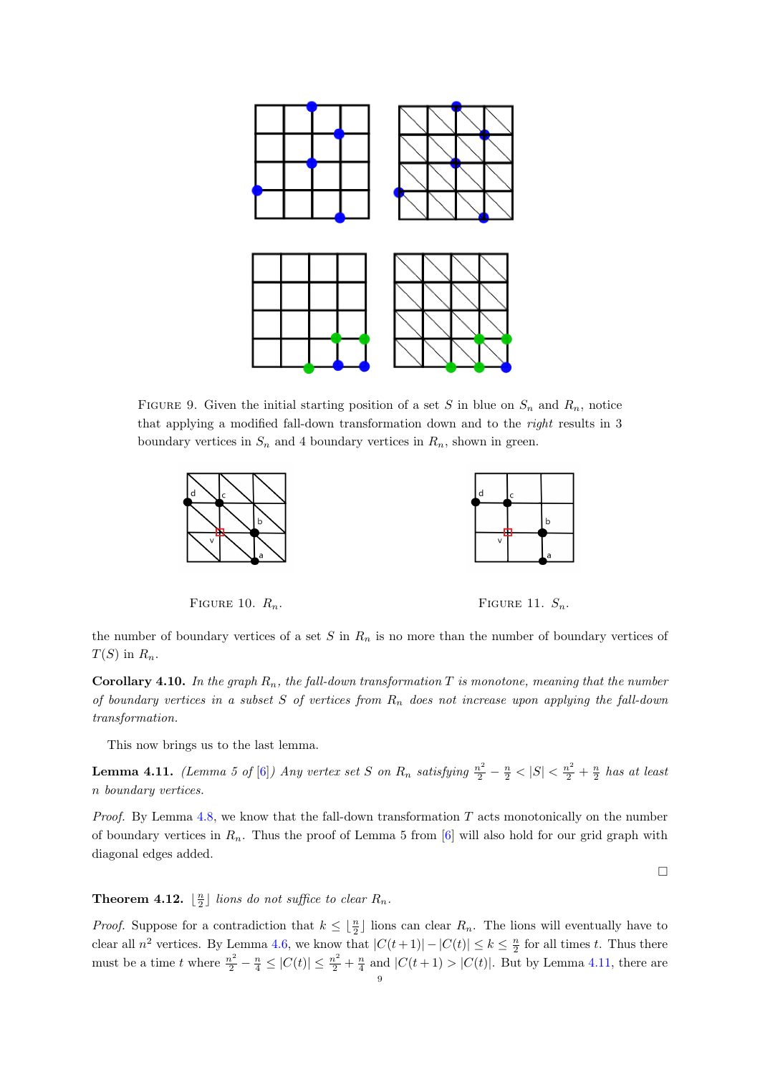

<span id="page-8-0"></span>FIGURE 9. Given the initial starting position of a set S in blue on  $S_n$  and  $R_n$ , notice that applying a modified fall-down transformation down and to the right results in 3 boundary vertices in  $S_n$  and 4 boundary vertices in  $R_n$ , shown in green.





<span id="page-8-1"></span>FIGURE 10.  $R_n$ . FIGURE 11.  $S_n$ .

<span id="page-8-2"></span>

the number of boundary vertices of a set  $S$  in  $R_n$  is no more than the number of boundary vertices of  $T(S)$  in  $R_n$ .

**Corollary 4.10.** In the graph  $R_n$ , the fall-down transformation T is monotone, meaning that the number of boundary vertices in a subset S of vertices from  $R_n$  does not increase upon applying the fall-down transformation.

This now brings us to the last lemma.

<span id="page-8-3"></span>**Lemma 4.11.** (Lemma 5 of [\[6\]](#page-13-0)) Any vertex set S on  $R_n$  satisfying  $\frac{n^2}{2} - \frac{n}{2} < |S| < \frac{n^2}{2} + \frac{n}{2}$  has at least n boundary vertices.

*Proof.* By Lemma  $4.8$ , we know that the fall-down transformation  $T$  acts monotonically on the number of boundary vertices in  $R_n$ . Thus the proof of Lemma 5 from  $[6]$  will also hold for our grid graph with diagonal edges added.

 $\Box$ 

# <span id="page-8-4"></span>**Theorem 4.12.**  $\lfloor \frac{n}{2} \rfloor$  lions do not suffice to clear  $R_n$ .

*Proof.* Suppose for a contradiction that  $k \leq \lfloor \frac{n}{2} \rfloor$  lions can clear  $R_n$ . The lions will eventually have to clear all  $n^2$  vertices. By Lemma [4.6,](#page-6-2) we know that  $|C(t+1)| - |C(t)| \leq k \leq \frac{n}{2}$  for all times t. Thus there must be a time t where  $\frac{n^2}{2} - \frac{n}{4} \leq |C(t)| \leq \frac{n^2}{2} + \frac{n}{4}$  and  $|C(t+1) > |C(t)|$ . But by Lemma [4.11,](#page-8-3) there are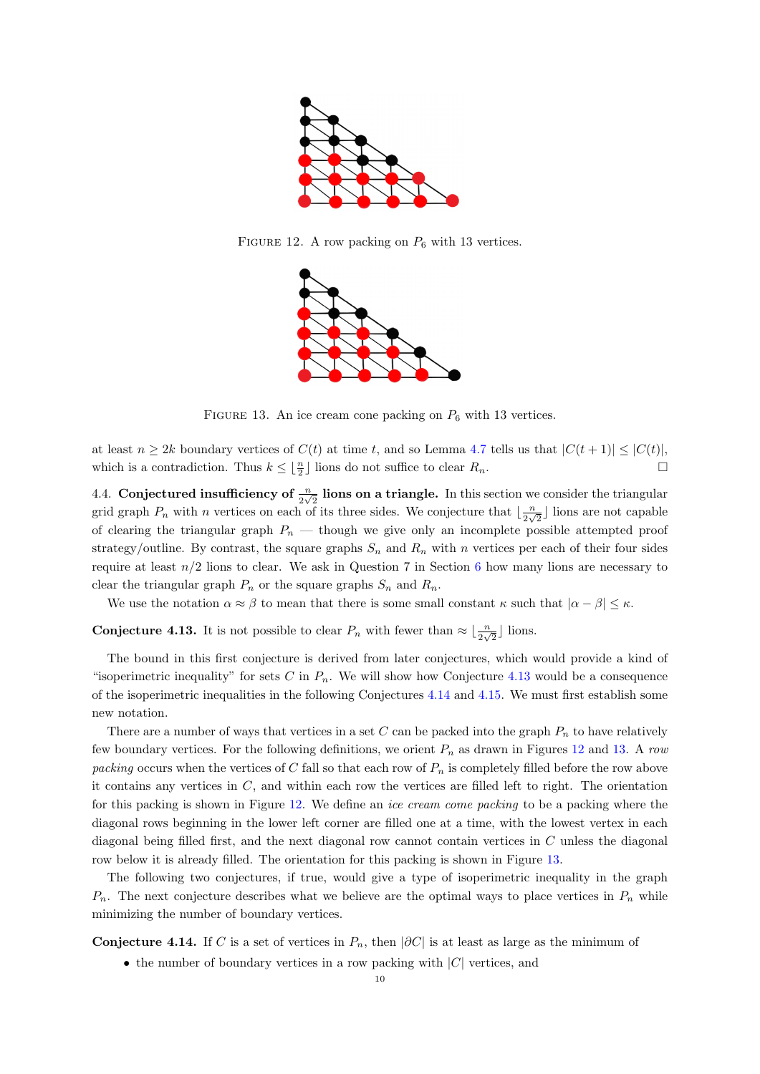

FIGURE 12. A row packing on  $P_6$  with 13 vertices.

<span id="page-9-2"></span>

<span id="page-9-3"></span>FIGURE 13. An ice cream cone packing on  $P_6$  with 13 vertices.

at least  $n \geq 2k$  boundary vertices of  $C(t)$  at time t, and so Lemma [4.7](#page-6-3) tells us that  $|C(t+1)| \leq |C(t)|$ , which is a contradiction. Thus  $k \leq \lfloor \frac{n}{2} \rfloor$  lions do not suffice to clear  $R_n$ .

4.4. Conjectured insufficiency of  $\frac{n}{2\sqrt{2}}$  lions on a triangle. In this section we consider the triangular grid graph  $P_n$  with n vertices on each of its three sides. We conjecture that  $\lfloor \frac{n}{2} \rfloor$  $\frac{n}{2\sqrt{2}}$  lions are not capable of clearing the triangular graph  $P_n$  — though we give only an incomplete possible attempted proof strategy/outline. By contrast, the square graphs  $S_n$  and  $R_n$  with n vertices per each of their four sides require at least  $n/2$  lions to clear. We ask in Question 7 in Section [6](#page-12-0) how many lions are necessary to clear the triangular graph  $P_n$  or the square graphs  $S_n$  and  $R_n$ .

We use the notation  $\alpha \approx \beta$  to mean that there is some small constant  $\kappa$  such that  $|\alpha - \beta| \leq \kappa$ .

<span id="page-9-0"></span>**Conjecture 4.13.** It is not possible to clear  $P_n$  with fewer than  $\approx \lfloor \frac{n}{2\sqrt{2}} \rfloor$  lions.

The bound in this first conjecture is derived from later conjectures, which would provide a kind of "isoperimetric inequality" for sets C in  $P_n$ . We will show how Conjecture [4.13](#page-9-0) would be a consequence of the isoperimetric inequalities in the following Conjectures [4.14](#page-9-1) and [4.15.](#page-10-1) We must first establish some new notation.

There are a number of ways that vertices in a set  $C$  can be packed into the graph  $P_n$  to have relatively few boundary vertices. For the following definitions, we orient  $P_n$  as drawn in Figures [12](#page-9-2) and [13.](#page-9-3) A row packing occurs when the vertices of C fall so that each row of  $P_n$  is completely filled before the row above it contains any vertices in  $C$ , and within each row the vertices are filled left to right. The orientation for this packing is shown in Figure [12.](#page-9-2) We define an ice cream come packing to be a packing where the diagonal rows beginning in the lower left corner are filled one at a time, with the lowest vertex in each diagonal being filled first, and the next diagonal row cannot contain vertices in C unless the diagonal row below it is already filled. The orientation for this packing is shown in Figure [13.](#page-9-3)

The following two conjectures, if true, would give a type of isoperimetric inequality in the graph  $P_n$ . The next conjecture describes what we believe are the optimal ways to place vertices in  $P_n$  while minimizing the number of boundary vertices.

<span id="page-9-1"></span>Conjecture 4.14. If C is a set of vertices in  $P_n$ , then  $|\partial C|$  is at least as large as the minimum of

• the number of boundary vertices in a row packing with  $|C|$  vertices, and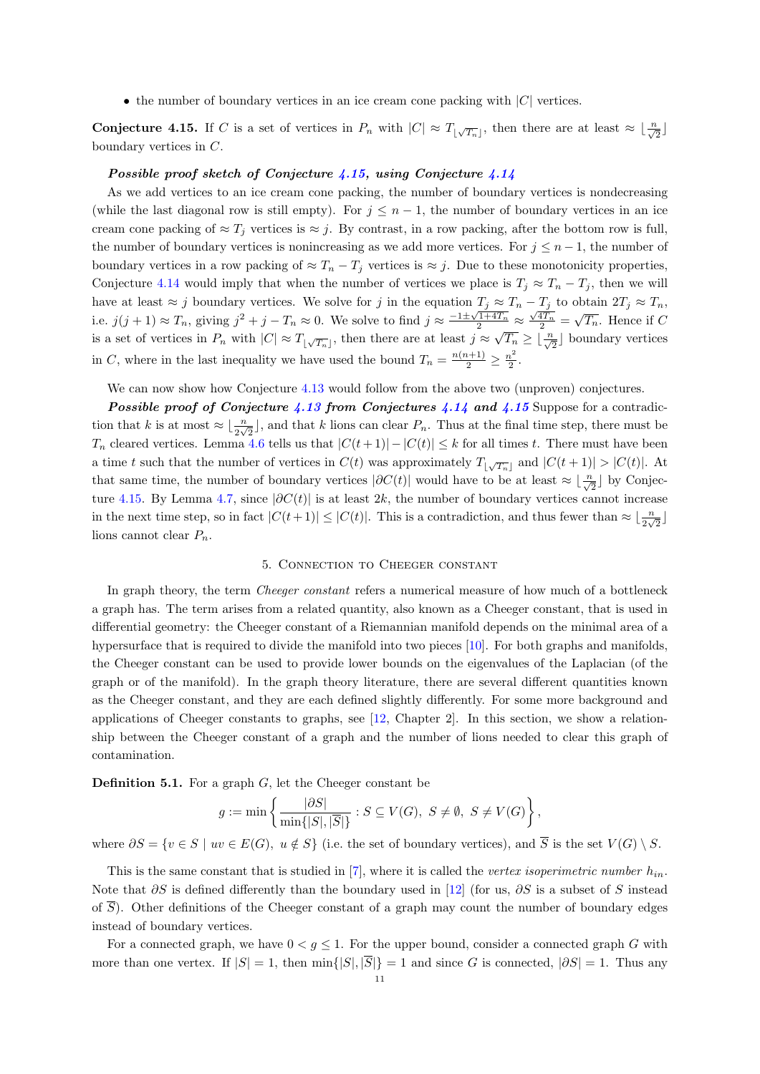• the number of boundary vertices in an ice cream cone packing with  $|C|$  vertices.

<span id="page-10-1"></span>**Conjecture 4.15.** If C is a set of vertices in  $P_n$  with  $|C| \approx T_{\lfloor \sqrt{T_n} \rfloor}$ , then there are at least  $\approx \lfloor \frac{n}{\sqrt{2}} \rfloor$ boundary vertices in C.

# Possible proof sketch of Conjecture [4.15,](#page-10-1) using Conjecture [4.14](#page-9-1)

As we add vertices to an ice cream cone packing, the number of boundary vertices is nondecreasing (while the last diagonal row is still empty). For  $j \leq n-1$ , the number of boundary vertices in an ice cream cone packing of  $\approx T_j$  vertices is  $\approx j$ . By contrast, in a row packing, after the bottom row is full, the number of boundary vertices is nonincreasing as we add more vertices. For  $j \leq n-1$ , the number of boundary vertices in a row packing of  $\approx T_n - T_j$  vertices is  $\approx j$ . Due to these monotonicity properties, Conjecture [4.14](#page-9-1) would imply that when the number of vertices we place is  $T_j \approx T_n - T_j$ , then we will have at least  $\approx j$  boundary vertices. We solve for j in the equation  $T_j \approx T_n - T_j$  to obtain  $2T_j \approx T_n$ , i.e.  $j(j+1) \approx T_n$ , giving  $j^2 + j - T_n \approx 0$ . We solve to find  $j \approx \frac{-1 \pm \sqrt{1+4T_n}}{2} \approx \frac{\sqrt{4T_n}}{2} = \sqrt{T_n}$ . Hence if C is a set of vertices in  $P_n$  with  $|C| \approx T_{\lfloor \sqrt{T_n} \rfloor}$ , then there are at least  $j \approx \sqrt{T_n} \geq \lfloor \frac{n}{\sqrt{2}} \rfloor$  boundary vertices in C, where in the last inequality we have used the bound  $T_n = \frac{n(n+1)}{2} \geq \frac{n^2}{2}$  $\frac{i^2}{2}$ .

We can now show how Conjecture [4.13](#page-9-0) would follow from the above two (unproven) conjectures.

**Possible proof of Conjecture [4.13](#page-9-0) from Conjectures [4.14](#page-9-1) and [4.15](#page-10-1) Suppose for a contradic**tion that k is at most  $\approx \lfloor \frac{n}{2\sqrt{2}} \rfloor$ , and that k lions can clear  $P_n$ . Thus at the final time step, there must be  $T_n$  cleared vertices. Lemma [4.6](#page-6-2) tells us that  $|C(t+1)| - |C(t)| \leq k$  for all times t. There must have been a time t such that the number of vertices in  $C(t)$  was approximately  $T_{\lfloor \sqrt{T_n} \rfloor}$  and  $|C(t+1)| > |C(t)|$ . At that same time, the number of boundary vertices  $|\partial C(t)|$  would have to be at least  $\approx \lfloor \frac{n}{\sqrt{2}} \rfloor$  by Conjec-ture [4.15.](#page-10-1) By Lemma [4.7,](#page-6-3) since  $|\partial C(t)|$  is at least 2k, the number of boundary vertices cannot increase in the next time step, so in fact  $|C(t+1)| \leq |C(t)|$ . This is a contradiction, and thus fewer than  $\approx \lfloor \frac{n}{2\sqrt{2}} \rfloor$ lions cannot clear  $P_n$ .

## 5. Connection to Cheeger constant

<span id="page-10-0"></span>In graph theory, the term *Cheeger constant* refers a numerical measure of how much of a bottleneck a graph has. The term arises from a related quantity, also known as a Cheeger constant, that is used in differential geometry: the Cheeger constant of a Riemannian manifold depends on the minimal area of a hypersurface that is required to divide the manifold into two pieces [\[10\]](#page-13-4). For both graphs and manifolds, the Cheeger constant can be used to provide lower bounds on the eigenvalues of the Laplacian (of the graph or of the manifold). In the graph theory literature, there are several different quantities known as the Cheeger constant, and they are each defined slightly differently. For some more background and applications of Cheeger constants to graphs, see [\[12,](#page-13-3) Chapter 2]. In this section, we show a relationship between the Cheeger constant of a graph and the number of lions needed to clear this graph of contamination.

**Definition 5.1.** For a graph  $G$ , let the Cheeger constant be

$$
g := \min\left\{ \frac{|\partial S|}{\min\{|S|, |\overline{S}|\}} : S \subseteq V(G), \ S \neq \emptyset, \ S \neq V(G) \right\},\
$$

where  $\partial S = \{v \in S \mid uv \in E(G), u \notin S\}$  (i.e. the set of boundary vertices), and  $\overline{S}$  is the set  $V(G) \setminus S$ .

This is the same constant that is studied in [\[7\]](#page-13-16), where it is called the vertex isoperimetric number  $h_{in}$ . Note that  $\partial S$  is defined differently than the boundary used in [\[12\]](#page-13-3) (for us,  $\partial S$  is a subset of S instead of  $\overline{S}$ ). Other definitions of the Cheeger constant of a graph may count the number of boundary edges instead of boundary vertices.

For a connected graph, we have  $0 < g \leq 1$ . For the upper bound, consider a connected graph G with more than one vertex. If  $|S| = 1$ , then  $\min\{|S|, |\overline{S}|\} = 1$  and since G is connected,  $|\partial S| = 1$ . Thus any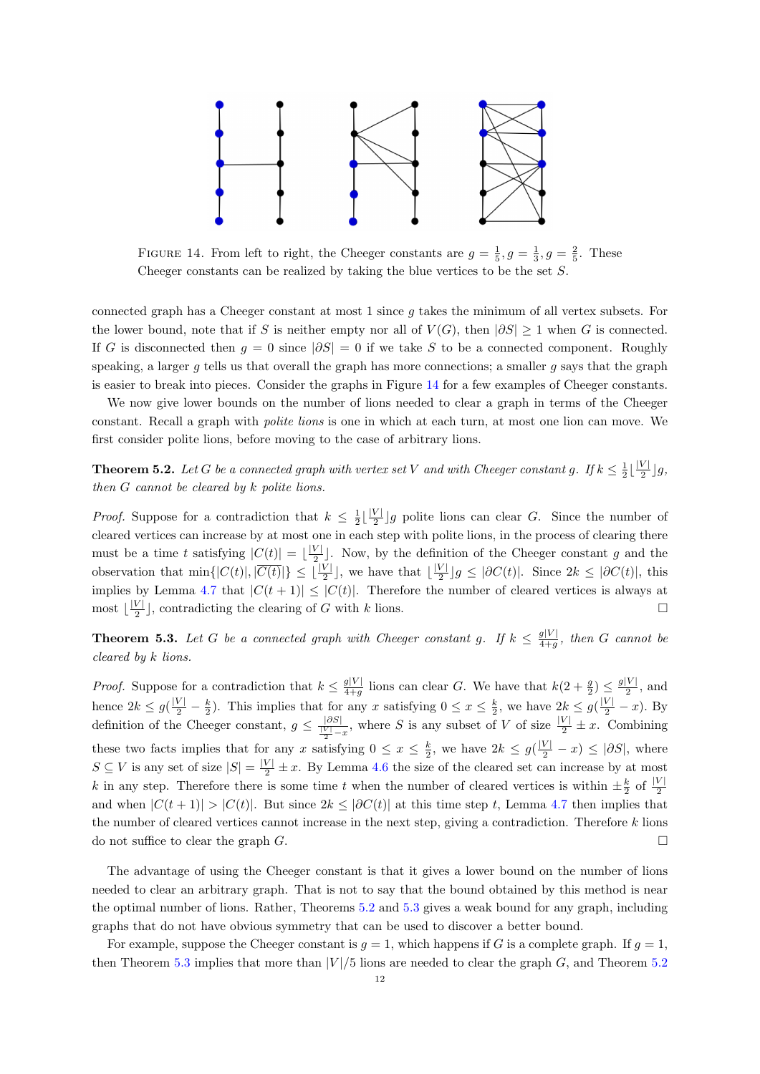

<span id="page-11-0"></span>FIGURE 14. From left to right, the Cheeger constants are  $g = \frac{1}{5}$ ,  $g = \frac{1}{3}$ ,  $g = \frac{2}{5}$ . These Cheeger constants can be realized by taking the blue vertices to be the set S.

connected graph has a Cheeger constant at most  $1$  since  $g$  takes the minimum of all vertex subsets. For the lower bound, note that if S is neither empty nor all of  $V(G)$ , then  $|\partial S| \geq 1$  when G is connected. If G is disconnected then  $g = 0$  since  $|\partial S| = 0$  if we take S to be a connected component. Roughly speaking, a larger q tells us that overall the graph has more connections; a smaller q says that the graph is easier to break into pieces. Consider the graphs in Figure [14](#page-11-0) for a few examples of Cheeger constants.

We now give lower bounds on the number of lions needed to clear a graph in terms of the Cheeger constant. Recall a graph with polite lions is one in which at each turn, at most one lion can move. We first consider polite lions, before moving to the case of arbitrary lions.

<span id="page-11-1"></span>**Theorem 5.2.** Let G be a connected graph with vertex set V and with Cheeger constant g. If  $k \leq \frac{1}{2} \lfloor \frac{|V|}{2} \rfloor$  $\frac{V\perp}{2}$   $\rfloor$  g, then G cannot be cleared by k polite lions.

*Proof.* Suppose for a contradiction that  $k \leq \frac{1}{2} \lfloor \frac{|V|}{2} \rfloor$  $\frac{\nu}{2}$  g polite lions can clear G. Since the number of cleared vertices can increase by at most one in each step with polite lions, in the process of clearing there must be a time t satisfying  $|C(t)| = \lfloor \frac{|V|}{2} \rfloor$  $\frac{V}{2}$ . Now, by the definition of the Cheeger constant g and the observation that  $\min\{|C(t)|, |\overline{C(t)}|\} \leq \lfloor \frac{|V|}{2} \rfloor$ , we have that  $\lfloor \frac{|V|}{2} \rfloor$  $\frac{\nu_1}{2}$ ] $g \leq |\partial C(t)|$ . Since  $2k \leq |\partial C(t)|$ , this implies by Lemma [4.7](#page-6-3) that  $|C(t + 1)| \leq |C(t)|$ . Therefore the number of cleared vertices is always at most  $\frac{|V|}{2}$  $\frac{|V|}{2}$ , contradicting the clearing of G with k lions.

<span id="page-11-2"></span>**Theorem 5.3.** Let G be a connected graph with Cheeger constant g. If  $k \leq \frac{g|V|}{4+a}$  $\frac{g|V|}{4+g}$ , then G cannot be cleared by k lions.

*Proof.* Suppose for a contradiction that  $k \leq \frac{g|V|}{4+a}$  $\frac{g|V|}{4+g}$  lions can clear G. We have that  $k(2+\frac{g}{2}) \leq \frac{g|V|}{2}$  $\frac{|V|}{2}$ , and hence  $2k \le g(\frac{|V|}{2} - \frac{k}{2})$ . This implies that for any x satisfying  $0 \le x \le \frac{k}{2}$ , we have  $2k \le g(\frac{|V|}{2} - x)$ . By definition of the Cheeger constant,  $g \leq \frac{|\partial S|}{\frac{|V|}{2} - x}$ , where S is any subset of V of size  $\frac{|V|}{2} \pm x$ . Combining these two facts implies that for any x satisfying  $0 \le x \le \frac{k}{2}$ , we have  $2k \le g(\frac{|V|}{2} - x) \le |\partial S|$ , where  $S \subseteq V$  is any set of size  $|S| = \frac{|V|}{2} \pm x$ . By Lemma [4.6](#page-6-2) the size of the cleared set can increase by at most k in any step. Therefore there is some time t when the number of cleared vertices is within  $\pm \frac{k}{2}$  of  $\frac{|V|}{2}$ and when  $|C(t + 1)| > |C(t)|$ . But since  $2k \leq |\partial C(t)|$  at this time step t, Lemma [4.7](#page-6-3) then implies that the number of cleared vertices cannot increase in the next step, giving a contradiction. Therefore  $k$  lions do not suffice to clear the graph  $G$ .

The advantage of using the Cheeger constant is that it gives a lower bound on the number of lions needed to clear an arbitrary graph. That is not to say that the bound obtained by this method is near the optimal number of lions. Rather, Theorems [5.2](#page-11-1) and [5.3](#page-11-2) gives a weak bound for any graph, including graphs that do not have obvious symmetry that can be used to discover a better bound.

For example, suppose the Cheeger constant is  $q = 1$ , which happens if G is a complete graph. If  $q = 1$ , then Theorem [5.3](#page-11-2) implies that more than  $|V|/5$  lions are needed to clear the graph G, and Theorem [5.2](#page-11-1)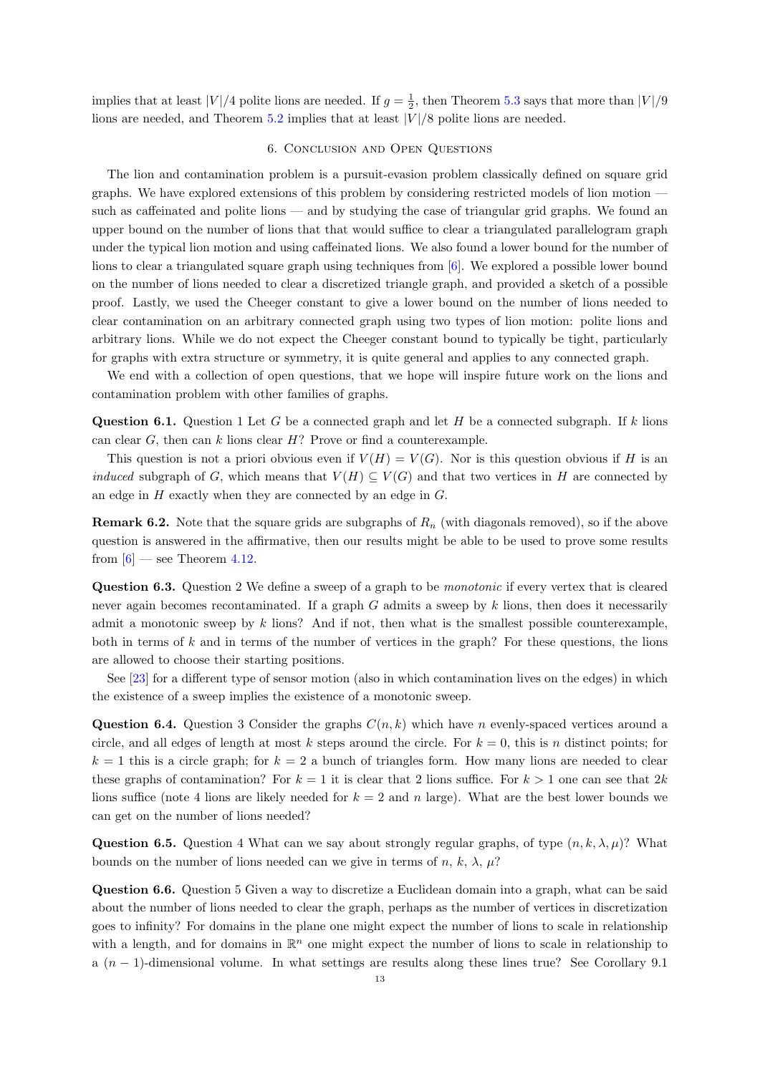implies that at least  $|V|/4$  polite lions are needed. If  $g = \frac{1}{2}$ , then Theorem [5.3](#page-11-2) says that more than  $|V|/9$ lions are needed, and Theorem  $5.2$  implies that at least  $|V|/8$  polite lions are needed.

### 6. Conclusion and Open Questions

<span id="page-12-0"></span>The lion and contamination problem is a pursuit-evasion problem classically defined on square grid graphs. We have explored extensions of this problem by considering restricted models of lion motion such as caffeinated and polite lions — and by studying the case of triangular grid graphs. We found an upper bound on the number of lions that that would suffice to clear a triangulated parallelogram graph under the typical lion motion and using caffeinated lions. We also found a lower bound for the number of lions to clear a triangulated square graph using techniques from [\[6\]](#page-13-0). We explored a possible lower bound on the number of lions needed to clear a discretized triangle graph, and provided a sketch of a possible proof. Lastly, we used the Cheeger constant to give a lower bound on the number of lions needed to clear contamination on an arbitrary connected graph using two types of lion motion: polite lions and arbitrary lions. While we do not expect the Cheeger constant bound to typically be tight, particularly for graphs with extra structure or symmetry, it is quite general and applies to any connected graph.

We end with a collection of open questions, that we hope will inspire future work on the lions and contamination problem with other families of graphs.

**Question 6.1.** Question 1 Let G be a connected graph and let H be a connected subgraph. If k lions can clear  $G$ , then can k lions clear  $H$ ? Prove or find a counterexample.

This question is not a priori obvious even if  $V(H) = V(G)$ . Nor is this question obvious if H is an *induced* subgraph of G, which means that  $V(H) \subseteq V(G)$  and that two vertices in H are connected by an edge in  $H$  exactly when they are connected by an edge in  $G$ .

**Remark 6.2.** Note that the square grids are subgraphs of  $R_n$  (with diagonals removed), so if the above question is answered in the affirmative, then our results might be able to be used to prove some results from  $[6]$  — see Theorem [4.12.](#page-8-4)

Question 6.3. Question 2 We define a sweep of a graph to be *monotonic* if every vertex that is cleared never again becomes recontaminated. If a graph  $G$  admits a sweep by  $k$  lions, then does it necessarily admit a monotonic sweep by  $k$  lions? And if not, then what is the smallest possible counterexample, both in terms of  $k$  and in terms of the number of vertices in the graph? For these questions, the lions are allowed to choose their starting positions.

See [\[23\]](#page-14-14) for a different type of sensor motion (also in which contamination lives on the edges) in which the existence of a sweep implies the existence of a monotonic sweep.

**Question 6.4.** Question 3 Consider the graphs  $C(n, k)$  which have n evenly-spaced vertices around a circle, and all edges of length at most k steps around the circle. For  $k = 0$ , this is n distinct points; for  $k = 1$  this is a circle graph; for  $k = 2$  a bunch of triangles form. How many lions are needed to clear these graphs of contamination? For  $k = 1$  it is clear that 2 lions suffice. For  $k > 1$  one can see that  $2k$ lions suffice (note 4 lions are likely needed for  $k = 2$  and n large). What are the best lower bounds we can get on the number of lions needed?

**Question 6.5.** Question 4 What can we say about strongly regular graphs, of type  $(n, k, \lambda, \mu)$ ? What bounds on the number of lions needed can we give in terms of n, k,  $\lambda$ ,  $\mu$ ?

Question 6.6. Question 5 Given a way to discretize a Euclidean domain into a graph, what can be said about the number of lions needed to clear the graph, perhaps as the number of vertices in discretization goes to infinity? For domains in the plane one might expect the number of lions to scale in relationship with a length, and for domains in  $\mathbb{R}^n$  one might expect the number of lions to scale in relationship to a (n − 1)-dimensional volume. In what settings are results along these lines true? See Corollary 9.1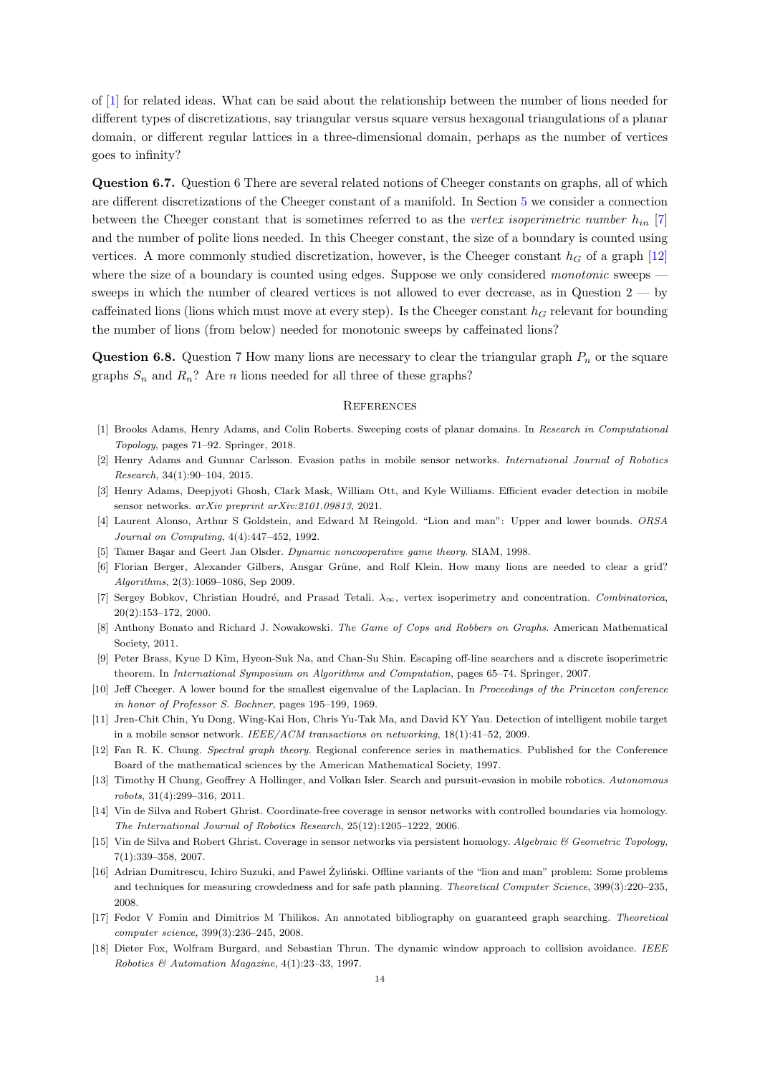of [\[1\]](#page-13-17) for related ideas. What can be said about the relationship between the number of lions needed for different types of discretizations, say triangular versus square versus hexagonal triangulations of a planar domain, or different regular lattices in a three-dimensional domain, perhaps as the number of vertices goes to infinity?

Question 6.7. Question 6 There are several related notions of Cheeger constants on graphs, all of which are different discretizations of the Cheeger constant of a manifold. In Section [5](#page-10-0) we consider a connection between the Cheeger constant that is sometimes referred to as the vertex isoperimetric number  $h_{in}$  [\[7\]](#page-13-16) and the number of polite lions needed. In this Cheeger constant, the size of a boundary is counted using vertices. A more commonly studied discretization, however, is the Cheeger constant  $h<sub>G</sub>$  of a graph [\[12\]](#page-13-3) where the size of a boundary is counted using edges. Suppose we only considered *monotonic* sweeps  $$ sweeps in which the number of cleared vertices is not allowed to ever decrease, as in Question  $2 -$  by caffeinated lions (lions which must move at every step). Is the Cheeger constant  $h<sub>G</sub>$  relevant for bounding the number of lions (from below) needed for monotonic sweeps by caffeinated lions?

**Question 6.8.** Question 7 How many lions are necessary to clear the triangular graph  $P_n$  or the square graphs  $S_n$  and  $R_n$ ? Are n lions needed for all three of these graphs?

### **REFERENCES**

- <span id="page-13-17"></span>[1] Brooks Adams, Henry Adams, and Colin Roberts. Sweeping costs of planar domains. In Research in Computational Topology, pages 71–92. Springer, 2018.
- <span id="page-13-12"></span>[2] Henry Adams and Gunnar Carlsson. Evasion paths in mobile sensor networks. International Journal of Robotics Research, 34(1):90–104, 2015.
- <span id="page-13-15"></span>[3] Henry Adams, Deepjyoti Ghosh, Clark Mask, William Ott, and Kyle Williams. Efficient evader detection in mobile sensor networks. arXiv preprint arXiv:2101.09813, 2021.
- <span id="page-13-10"></span>[4] Laurent Alonso, Arthur S Goldstein, and Edward M Reingold. "Lion and man": Upper and lower bounds. ORSA Journal on Computing, 4(4):447–452, 1992.
- <span id="page-13-6"></span>[5] Tamer Başar and Geert Jan Olsder. Dynamic noncooperative game theory. SIAM, 1998.
- <span id="page-13-0"></span>[6] Florian Berger, Alexander Gilbers, Ansgar Grüne, and Rolf Klein. How many lions are needed to clear a grid? Algorithms, 2(3):1069–1086, Sep 2009.
- <span id="page-13-16"></span>[7] Sergey Bobkov, Christian Houdré, and Prasad Tetali.  $\lambda_{\infty}$ , vertex isoperimetry and concentration. Combinatorica, 20(2):153–172, 2000.
- <span id="page-13-8"></span>[8] Anthony Bonato and Richard J. Nowakowski. The Game of Cops and Robbers on Graphs. American Mathematical Society, 2011.
- <span id="page-13-1"></span>[9] Peter Brass, Kyue D Kim, Hyeon-Suk Na, and Chan-Su Shin. Escaping off-line searchers and a discrete isoperimetric theorem. In International Symposium on Algorithms and Computation, pages 65–74. Springer, 2007.
- <span id="page-13-4"></span>[10] Jeff Cheeger. A lower bound for the smallest eigenvalue of the Laplacian. In Proceedings of the Princeton conference in honor of Professor S. Bochner, pages 195–199, 1969.
- <span id="page-13-11"></span>[11] Jren-Chit Chin, Yu Dong, Wing-Kai Hon, Chris Yu-Tak Ma, and David KY Yau. Detection of intelligent mobile target in a mobile sensor network. IEEE/ACM transactions on networking, 18(1):41–52, 2009.
- <span id="page-13-3"></span>[12] Fan R. K. Chung. Spectral graph theory. Regional conference series in mathematics. Published for the Conference Board of the mathematical sciences by the American Mathematical Society, 1997.
- <span id="page-13-9"></span>[13] Timothy H Chung, Geoffrey A Hollinger, and Volkan Isler. Search and pursuit-evasion in mobile robotics. Autonomous robots, 31(4):299–316, 2011.
- <span id="page-13-13"></span>[14] Vin de Silva and Robert Ghrist. Coordinate-free coverage in sensor networks with controlled boundaries via homology. The International Journal of Robotics Research, 25(12):1205–1222, 2006.
- <span id="page-13-14"></span>[15] Vin de Silva and Robert Ghrist. Coverage in sensor networks via persistent homology. Algebraic & Geometric Topology, 7(1):339–358, 2007.
- <span id="page-13-2"></span>[16] Adrian Dumitrescu, Ichiro Suzuki, and Paweł Żyliński. Offline variants of the "lion and man" problem: Some problems and techniques for measuring crowdedness and for safe path planning. Theoretical Computer Science, 399(3):220–235, 2008.
- <span id="page-13-5"></span>[17] Fedor V Fomin and Dimitrios M Thilikos. An annotated bibliography on guaranteed graph searching. Theoretical computer science, 399(3):236–245, 2008.
- <span id="page-13-7"></span>[18] Dieter Fox, Wolfram Burgard, and Sebastian Thrun. The dynamic window approach to collision avoidance. IEEE Robotics & Automation Magazine, 4(1):23–33, 1997.